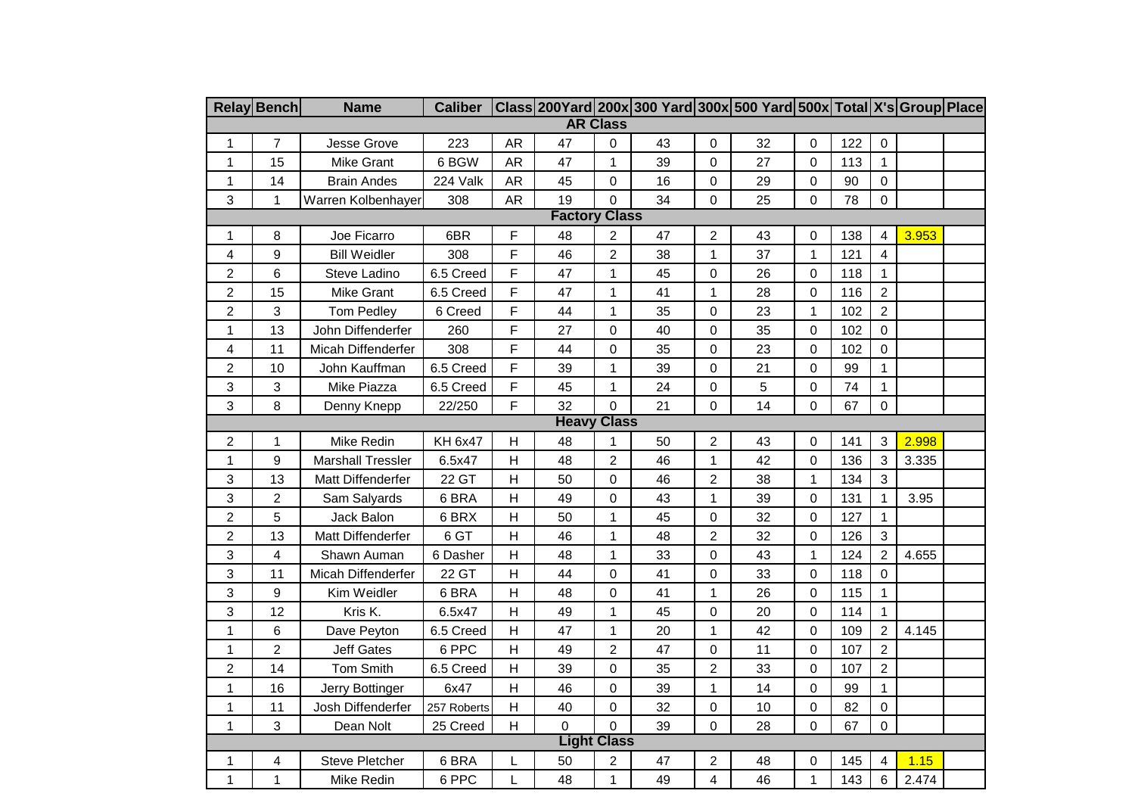|                         | <b>Relay Bench</b> | <b>Name</b>              | <b>Caliber</b> |                |                    |                         | Class 200Yard 200x 300 Yard 300x 500 Yard 500x Total X's Group Place |                         |    |                  |     |                  |       |  |
|-------------------------|--------------------|--------------------------|----------------|----------------|--------------------|-------------------------|----------------------------------------------------------------------|-------------------------|----|------------------|-----|------------------|-------|--|
| <b>AR Class</b>         |                    |                          |                |                |                    |                         |                                                                      |                         |    |                  |     |                  |       |  |
| $\mathbf{1}$            | $\overline{7}$     | Jesse Grove              | 223            | AR             | 47                 | $\pmb{0}$               | 43                                                                   | $\pmb{0}$               | 32 | $\pmb{0}$        | 122 | $\pmb{0}$        |       |  |
| $\mathbf{1}$            | 15                 | Mike Grant               | 6 BGW          | AR             | 47                 | 1                       | 39                                                                   | $\mathbf 0$             | 27 | $\mathbf 0$      | 113 | 1                |       |  |
| $\mathbf{1}$            | 14                 | <b>Brain Andes</b>       | 224 Valk       | AR             | 45                 | 0                       | 16                                                                   | 0                       | 29 | 0                | 90  | $\pmb{0}$        |       |  |
| 3                       | $\mathbf{1}$       | Warren Kolbenhayer       | 308            | AR             | 19                 | $\mathbf 0$             | 34                                                                   | $\pmb{0}$               | 25 | 0                | 78  | $\boldsymbol{0}$ |       |  |
| <b>Factory Class</b>    |                    |                          |                |                |                    |                         |                                                                      |                         |    |                  |     |                  |       |  |
| $\mathbf{1}$            | 8                  | Joe Ficarro              | 6BR            | F              | 48                 | $\overline{\mathbf{c}}$ | 47                                                                   | $\overline{c}$          | 43 | 0                | 138 | 4                | 3.953 |  |
| 4                       | 9                  | <b>Bill Weidler</b>      | 308            | F              | 46                 | $\overline{c}$          | 38                                                                   | 1                       | 37 | $\mathbf{1}$     | 121 | 4                |       |  |
| $\overline{c}$          | 6                  | Steve Ladino             | 6.5 Creed      | F              | 47                 | 1                       | 45                                                                   | $\mathbf 0$             | 26 | $\mathbf 0$      | 118 | 1                |       |  |
| $\overline{c}$          | 15                 | Mike Grant               | 6.5 Creed      | F              | 47                 | 1                       | 41                                                                   | 1                       | 28 | 0                | 116 | $\overline{c}$   |       |  |
| $\overline{c}$          | 3                  | Tom Pedley               | 6 Creed        | F              | 44                 | $\mathbf{1}$            | 35                                                                   | $\pmb{0}$               | 23 | $\mathbf{1}$     | 102 | $\overline{2}$   |       |  |
| $\mathbf{1}$            | 13                 | John Diffenderfer        | 260            | F              | 27                 | 0                       | 40                                                                   | $\mathbf 0$             | 35 | 0                | 102 | $\mathbf 0$      |       |  |
| 4                       | 11                 | Micah Diffenderfer       | 308            | F              | 44                 | 0                       | 35                                                                   | $\pmb{0}$               | 23 | $\mathsf 0$      | 102 | 0                |       |  |
| $\overline{\mathbf{c}}$ | 10                 | John Kauffman            | 6.5 Creed      | F              | 39                 | 1                       | 39                                                                   | 0                       | 21 | 0                | 99  | 1                |       |  |
| 3                       | 3                  | Mike Piazza              | 6.5 Creed      | F              | 45                 | $\mathbf{1}$            | 24                                                                   | $\pmb{0}$               | 5  | $\mathsf 0$      | 74  | $\mathbf{1}$     |       |  |
| 3                       | 8                  | Denny Knepp              | 22/250         | F              | 32                 | $\overline{0}$          | 21                                                                   | 0                       | 14 | 0                | 67  | $\overline{0}$   |       |  |
|                         |                    |                          |                |                | <b>Heavy Class</b> |                         |                                                                      |                         |    |                  |     |                  |       |  |
| $\overline{\mathbf{c}}$ | 1                  | Mike Redin               | <b>KH 6x47</b> | Н              | 48                 | 1                       | 50                                                                   | $\overline{c}$          | 43 | 0                | 141 | 3                | 2.998 |  |
| 1                       | 9                  | <b>Marshall Tressler</b> | 6.5x47         | H              | 48                 | $\overline{c}$          | 46                                                                   | $\mathbf{1}$            | 42 | 0                | 136 | 3                | 3.335 |  |
| 3                       | 13                 | Matt Diffenderfer        | 22 GT          | $\mathsf{H}$   | 50                 | 0                       | 46                                                                   | $\overline{c}$          | 38 | $\mathbf 1$      | 134 | 3                |       |  |
| 3                       | $\boldsymbol{2}$   | Sam Salyards             | 6 BRA          | $\mathsf{H}$   | 49                 | $\mathbf 0$             | 43                                                                   | 1                       | 39 | 0                | 131 | $\mathbf{1}$     | 3.95  |  |
| $\overline{c}$          | 5                  | Jack Balon               | 6 BRX          | $\overline{H}$ | 50                 | $\mathbf{1}$            | 45                                                                   | $\pmb{0}$               | 32 | $\pmb{0}$        | 127 | $\mathbf{1}$     |       |  |
| $\overline{c}$          | 13                 | Matt Diffenderfer        | 6 GT           | $\overline{H}$ | 46                 | 1                       | 48                                                                   | $\overline{c}$          | 32 | 0                | 126 | 3                |       |  |
| 3                       | 4                  | Shawn Auman              | 6 Dasher       | H              | 48                 | $\mathbf{1}$            | 33                                                                   | $\mathbf 0$             | 43 | $\mathbf{1}$     | 124 | $\overline{c}$   | 4.655 |  |
| 3                       | 11                 | Micah Diffenderfer       | 22 GT          | $\overline{H}$ | 44                 | $\mathbf 0$             | 41                                                                   | $\mathbf 0$             | 33 | $\mathbf 0$      | 118 | $\mathsf 0$      |       |  |
| 3                       | 9                  | Kim Weidler              | 6 BRA          | H              | 48                 | $\pmb{0}$               | 41                                                                   | $\mathbf{1}$            | 26 | $\boldsymbol{0}$ | 115 | $\mathbf{1}$     |       |  |
| 3                       | 12                 | Kris K.                  | 6.5x47         | H              | 49                 | 1                       | 45                                                                   | $\mathbf 0$             | 20 | 0                | 114 | $\mathbf{1}$     |       |  |
| $\mathbf{1}$            | 6                  | Dave Peyton              | 6.5 Creed      | $\overline{H}$ | 47                 | $\mathbf{1}$            | 20                                                                   | 1                       | 42 | $\mathbf 0$      | 109 | $\overline{c}$   | 4.145 |  |
| $\mathbf{1}$            | $\overline{2}$     | <b>Jeff Gates</b>        | 6 PPC          | $\overline{H}$ | 49                 | $\overline{c}$          | 47                                                                   | $\mathbf 0$             | 11 | $\mathbf 0$      | 107 | $\overline{c}$   |       |  |
| $\overline{\mathbf{c}}$ | 14                 | Tom Smith                | 6.5 Creed      | $\mathsf{H}$   | 39                 | 0                       | 35                                                                   | $\overline{c}$          | 33 | 0                | 107 | $\overline{2}$   |       |  |
| $\mathbf{1}$            | 16                 | Jerry Bottinger          | 6x47           | $\overline{H}$ | 46                 | $\mathbf 0$             | 39                                                                   | 1                       | 14 | 0                | 99  | $\mathbf{1}$     |       |  |
| $\mathbf{1}$            | 11                 | Josh Diffenderfer        | 257 Roberts    | $\overline{H}$ | 40                 | 0                       | 32                                                                   | $\mathbf 0$             | 10 | 0                | 82  | $\mathbf 0$      |       |  |
| $\mathbf{1}$            | 3                  | Dean Nolt                | 25 Creed       | H              | 0                  | $\mathbf 0$             | 39                                                                   | 0                       | 28 | 0                | 67  | 0                |       |  |
| <b>Light Class</b>      |                    |                          |                |                |                    |                         |                                                                      |                         |    |                  |     |                  |       |  |
| 1                       | 4                  | Steve Pletcher           | 6 BRA          | L              | 50                 | $\overline{2}$          | 47                                                                   | $\overline{\mathbf{c}}$ | 48 | 0                | 145 | 4                | 1.15  |  |
| $\mathbf{1}$            | $\mathbf{1}$       | Mike Redin               | 6 PPC          | L              | 48                 | $\mathbf{1}$            | 49                                                                   | $\overline{4}$          | 46 | $\mathbf{1}$     | 143 | 6                | 2.474 |  |